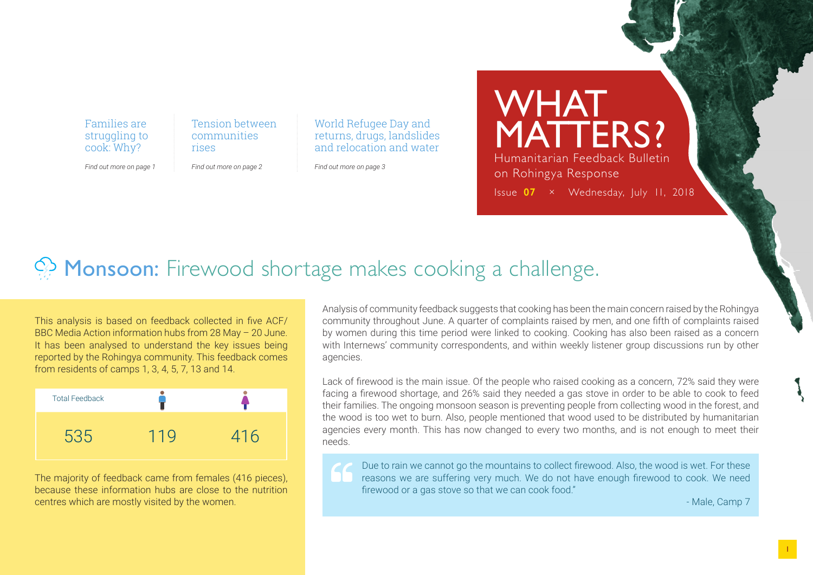Families are struggling to cook: Why?

Tension between communities rises

*Find out more on page 1 Find out more on page 2* World Refugee Day and returns, drugs, landslides and relocation and water

*Find out more on page 3*

WHAT MATTERS? Humanitarian Feedback Bulletin on Rohingya Response Issue **07** × Wednesday, July 11, 2018

# $\Diamond$  Monsoon: Firewood shortage makes cooking a challenge.

This analysis is based on feedback collected in five ACF/ BBC Media Action information hubs from 28 May – 20 June. It has been analysed to understand the key issues being reported by the Rohingya community. This feedback comes from residents of camps 1, 3, 4, 5, 7, 13 and 14.



The majority of feedback came from females (416 pieces), because these information hubs are close to the nutrition centres which are mostly visited by the women.

Analysis of community feedback suggests that cooking has been the main concern raised by the Rohingya community throughout June. A quarter of complaints raised by men, and one fifth of complaints raised by women during this time period were linked to cooking. Cooking has also been raised as a concern with Internews' community correspondents, and within weekly listener group discussions run by other agencies.

Lack of firewood is the main issue. Of the people who raised cooking as a concern, 72% said they were facing a firewood shortage, and 26% said they needed a gas stove in order to be able to cook to feed their families. The ongoing monsoon season is preventing people from collecting wood in the forest, and the wood is too wet to burn. Also, people mentioned that wood used to be distributed by humanitarian agencies every month. This has now changed to every two months, and is not enough to meet their needs.

Due to rain we cannot go the mountains to collect firewood. Also, the wood is wet. For these reasons we are suffering very much. We do not have enough firewood to cook. We need firewood or a gas stove so that we can cook food."

- Male, Camp 7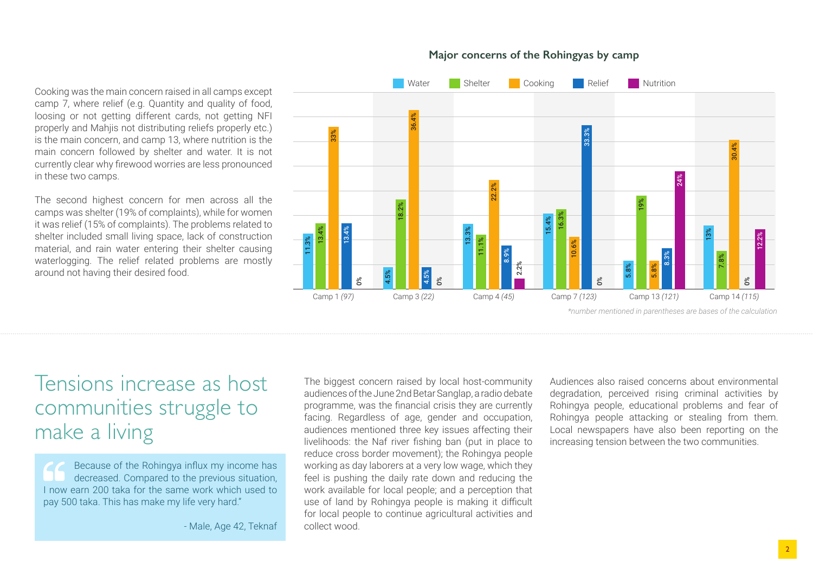Cooking was the main concern raised in all camps except camp 7, where relief (e.g. Quantity and quality of food, loosing or not getting different cards, not getting NFI properly and Mahjis not distributing reliefs properly etc.) is the main concern, and camp 13, where nutrition is the main concern followed by shelter and water. It is not currently clear why firewood worries are less pronounced in these two camps.

The second highest concern for men across all the camps was shelter (19% of complaints), while for women it was relief (15% of complaints). The problems related to shelter included small living space, lack of construction material, and rain water entering their shelter causing waterlogging. The relief related problems are mostly around not having their desired food.



#### **Major concerns of the Rohingyas by camp**

*\*number mentioned in parentheses are bases of the calculation*

## Tensions increase as host communities struggle to make a living

Because of the Rohingya influx my income has decreased. Compared to the previous situation, I now earn 200 taka for the same work which used to pay 500 taka. This has make my life very hard."

- Male, Age 42, Teknaf

The biggest concern raised by local host-community audiences of the June 2nd Betar Sanglap, a radio debate programme, was the financial crisis they are currently facing. Regardless of age, gender and occupation, audiences mentioned three key issues affecting their livelihoods: the Naf river fishing ban (put in place to reduce cross border movement); the Rohingya people working as day laborers at a very low wage, which they feel is pushing the daily rate down and reducing the work available for local people; and a perception that use of land by Rohingya people is making it difficult for local people to continue agricultural activities and collect wood.

Audiences also raised concerns about environmental degradation, perceived rising criminal activities by Rohingya people, educational problems and fear of Rohingya people attacking or stealing from them. Local newspapers have also been reporting on the increasing tension between the two communities.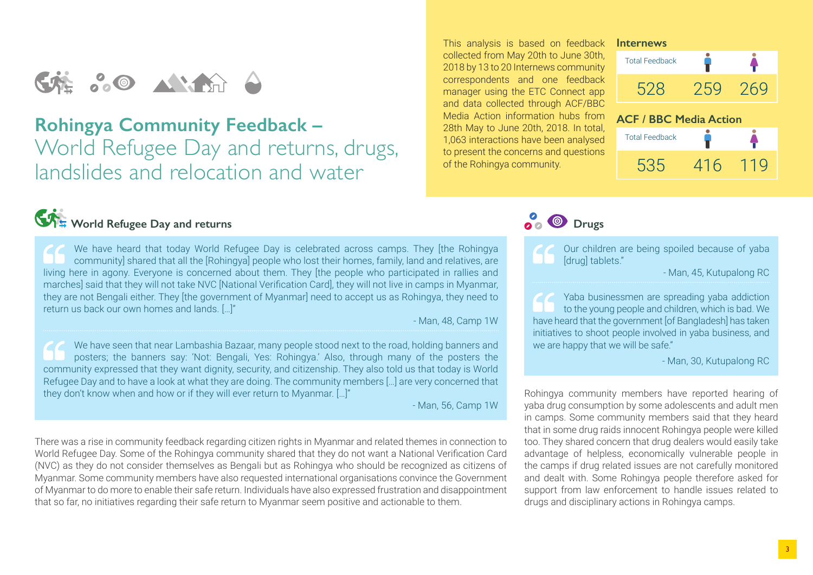# 

### **Rohingya Community Feedback –**  World Refugee Day and returns, drugs, landslides and relocation and water

#### This analysis is based on feedback collected from May 20th to June 30th, 2018 by 13 to 20 Internews community correspondents and one feedback manager using the ETC Connect app and data collected through ACF/BBC Media Action information hubs from 28th May to June 20th, 2018. In total, 1,063 interactions have been analysed to present the concerns and questions of the Rohingya community.

**2**<sup>**O**</sup> Drugs

#### **Internews**





## World Refugee Day and returns

We have heard that today World Refugee Day is celebrated across camps. They [the Rohingya community] shared that all the [Rohingya] people who lost their homes, family, land and relatives, are living here in agony. Everyone is concerned about them. They [the people who participated in rallies and marches] said that they will not take NVC [National Verification Card], they will not live in camps in Myanmar, they are not Bengali either. They [the government of Myanmar] need to accept us as Rohingya, they need to return us back our own homes and lands. […]"

- Man, 48, Camp 1W

We have seen that near Lambashia Bazaar, many people stood next to the road, holding banners and posters; the banners say: 'Not: Bengali, Yes: Rohingya.' Also, through many of the posters the community expressed that they want dignity, security, and citizenship. They also told us that today is World Refugee Day and to have a look at what they are doing. The community members […] are very concerned that they don't know when and how or if they will ever return to Myanmar. […]"

- Man, 56, Camp 1W

There was a rise in community feedback regarding citizen rights in Myanmar and related themes in connection to World Refugee Day. Some of the Rohingya community shared that they do not want a National Verification Card (NVC) as they do not consider themselves as Bengali but as Rohingya who should be recognized as citizens of Myanmar. Some community members have also requested international organisations convince the Government of Myanmar to do more to enable their safe return. Individuals have also expressed frustration and disappointment that so far, no initiatives regarding their safe return to Myanmar seem positive and actionable to them.

Our children are being spoiled because of yaba [drug] tablets."

- Man, 45, Kutupalong RC

Yaba businessmen are spreading yaba addiction to the young people and children, which is bad. We have heard that the government [of Bangladesh] has taken initiatives to shoot people involved in yaba business, and we are happy that we will be safe."

- Man, 30, Kutupalong RC

Rohingya community members have reported hearing of yaba drug consumption by some adolescents and adult men in camps. Some community members said that they heard that in some drug raids innocent Rohingya people were killed too. They shared concern that drug dealers would easily take advantage of helpless, economically vulnerable people in the camps if drug related issues are not carefully monitored and dealt with. Some Rohingya people therefore asked for support from law enforcement to handle issues related to drugs and disciplinary actions in Rohingya camps.